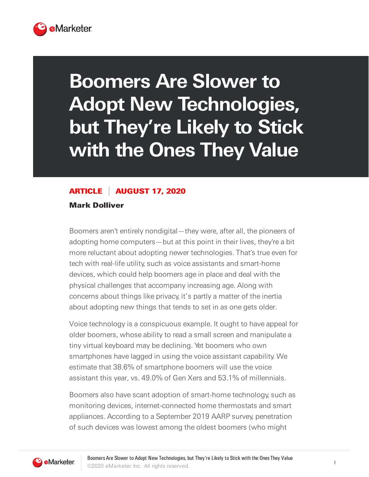

## **Boomers Are Slower to Adopt New Technologies, but They're Likely to Stick with the Ones They Value**

## ARTICLE AUGUST 17, 2020

Mark Dolliver

Boomers aren't entirely nondigital—they were, after all, the pioneers of adopting home computers—but at this point in their lives, they're a bit more reluctant about adopting newer technologies. That's true even for tech with real-life utility, such as voice assistants and smart-home devices, which could help boomers age in place and deal with the physical challenges that accompany increasing age. Along with concerns about things like privacy, it's partly a matter of the inertia about adopting new things that tends to set in as one gets older.

Voice technology is a conspicuous example. It ought to have appeal for older boomers, whose ability to read a small screen and manipulate a tiny virtual keyboard may be declining. Yet boomers who own smartphones have lagged in using the voice assistant capability. We estimate that 38.6% of smartphone boomers will use the voice assistant this year, vs. 49.0% of Gen Xers and 53.1% of millennials.

Boomers also have scant adoption of smart-home technology, such as monitoring devices, internet-connected home thermostats and smart appliances. According to a September 2019 AARP survey, penetration of such devices was lowest among the oldest boomers (who might

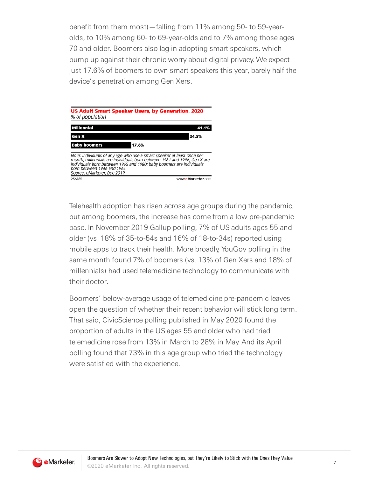benefit from them most)—falling from 11% among 50- to 59-yearolds, to 10% among 60- to 69-year-olds and to 7% among those ages 70 and older. Boomers also lag in adopting smart speakers, which bump up against their chronic worry about digital privacy. We expect just 17.6% of boomers to own smart speakers this year, barely half the device's penetration among Gen Xers.



Telehealth adoption has risen across age groups during the pandemic, but among boomers, the increase has come from a low pre-pandemic base. In November 2019 Gallup polling, 7% of US adults ages 55 and older (vs. 18% of 35-to-54s and 16% of 18-to-34s) reported using mobile apps to track their health. More broadly, YouGov polling in the same month found 7% of boomers (vs. 13% of Gen Xers and 18% of millennials) had used telemedicine technology to communicate with their doctor.

Boomers' below-average usage of telemedicine pre-pandemic leaves open the question of whether their recent behavior will stick long term. That said, CivicScience polling published in May 2020 found the proportion of adults in the US ages 55 and older who had tried telemedicine rose from 13% in March to 28% in May. And its April polling found that 73% in this age group who tried the technology were satisfied with the experience.